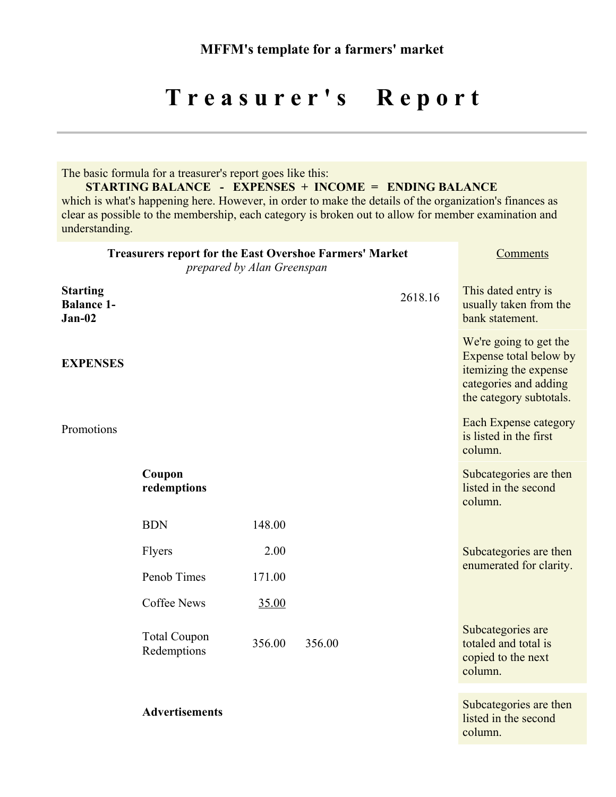## Treasurer's Report

The basic formula for a treasurer's report goes like this:

**STARTING BALANCE - EXPENSES + INCOME = ENDING BALANCE**

which is what's happening here. However, in order to make the details of the organization's finances as clear as possible to the membership, each category is broken out to allow for member examination and understanding.

| <b>Treasurers report for the East Overshoe Farmers' Market</b> | Comments                           |                |        |         |                                                                                                                               |
|----------------------------------------------------------------|------------------------------------|----------------|--------|---------|-------------------------------------------------------------------------------------------------------------------------------|
| <b>Starting</b><br><b>Balance 1-</b><br>$Jan-02$               |                                    |                |        | 2618.16 | This dated entry is<br>usually taken from the<br>bank statement.                                                              |
| <b>EXPENSES</b>                                                |                                    |                |        |         | We're going to get the<br>Expense total below by<br>itemizing the expense<br>categories and adding<br>the category subtotals. |
| Promotions                                                     |                                    |                |        |         | <b>Each Expense category</b><br>is listed in the first<br>column.                                                             |
|                                                                | Coupon<br>redemptions              |                |        |         | Subcategories are then<br>listed in the second<br>column.                                                                     |
|                                                                | <b>BDN</b>                         | 148.00         |        |         |                                                                                                                               |
|                                                                | Flyers<br>Penob Times              | 2.00<br>171.00 |        |         | Subcategories are then<br>enumerated for clarity.                                                                             |
|                                                                | <b>Coffee News</b>                 | 35.00          |        |         |                                                                                                                               |
|                                                                | <b>Total Coupon</b><br>Redemptions | 356.00         | 356.00 |         | Subcategories are<br>totaled and total is<br>copied to the next<br>column.                                                    |
|                                                                | <b>Advertisements</b>              |                |        |         | Subcategories are then<br>listed in the second<br>column.                                                                     |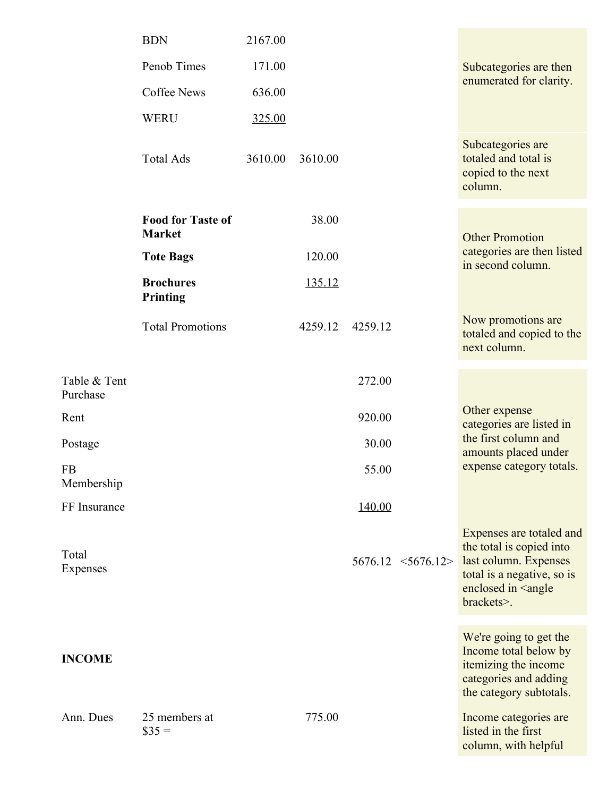|                          | <b>BDN</b>                                | 2167.00 |         |         |                       |                                                                                                                                                               |
|--------------------------|-------------------------------------------|---------|---------|---------|-----------------------|---------------------------------------------------------------------------------------------------------------------------------------------------------------|
|                          | Penob Times                               | 171.00  |         |         |                       | Subcategories are then<br>enumerated for clarity.                                                                                                             |
|                          | <b>Coffee News</b>                        | 636.00  |         |         |                       |                                                                                                                                                               |
|                          | <b>WERU</b>                               | 325.00  |         |         |                       |                                                                                                                                                               |
|                          | <b>Total Ads</b>                          | 3610.00 | 3610.00 |         |                       | Subcategories are<br>totaled and total is<br>copied to the next<br>column.                                                                                    |
|                          | <b>Food for Taste of</b><br><b>Market</b> |         | 38.00   |         |                       | <b>Other Promotion</b>                                                                                                                                        |
|                          | <b>Tote Bags</b>                          |         | 120.00  |         |                       | categories are then listed<br>in second column.                                                                                                               |
|                          | <b>Brochures</b><br>Printing              |         | 135.12  |         |                       |                                                                                                                                                               |
|                          | <b>Total Promotions</b>                   |         | 4259.12 | 4259.12 |                       | Now promotions are<br>totaled and copied to the<br>next column.                                                                                               |
| Table & Tent<br>Purchase |                                           |         |         | 272.00  |                       |                                                                                                                                                               |
| Rent                     |                                           |         |         | 920.00  |                       | Other expense<br>categories are listed in                                                                                                                     |
| Postage                  |                                           |         |         | 30.00   |                       | the first column and<br>amounts placed under                                                                                                                  |
| <b>FB</b><br>Membership  |                                           |         |         | 55.00   |                       | expense category totals.                                                                                                                                      |
| FF Insurance             |                                           |         |         | 140.00  |                       |                                                                                                                                                               |
| Total<br>Expenses        |                                           |         |         |         | $5676.12 \le 5676.12$ | Expenses are totaled and<br>the total is copied into<br>last column. Expenses<br>total is a negative, so is<br>enclosed in <angle<br>brackets&gt;.</angle<br> |
| <b>INCOME</b>            |                                           |         |         |         |                       | We're going to get the<br>Income total below by<br>itemizing the income<br>categories and adding<br>the category subtotals.                                   |
| Ann. Dues                | 25 members at<br>$\$35 =$                 |         | 775.00  |         |                       | Income categories are<br>listed in the first<br>column, with helpful                                                                                          |